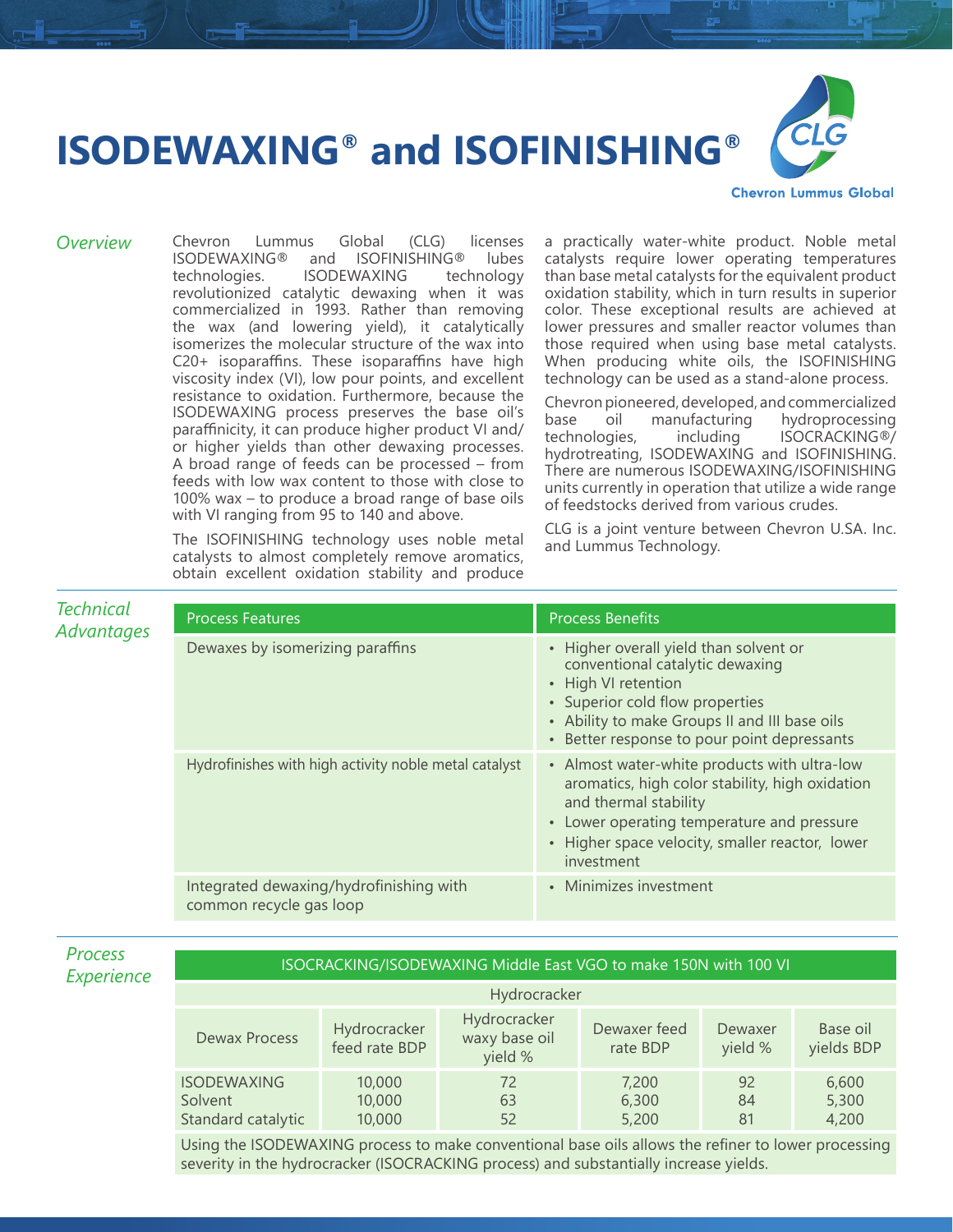## **ISODEWAXING® and ISOFINISHING®**



**Chevron Lummus Global** 

*Overview* Chevron Lummus Global (CLG) licenses and ISOFINISHING® lubes<br>ISODEWAXING technology technologies. ISODEWAXING revolutionized catalytic dewaxing when it was commercialized in 1993. Rather than removing the wax (and lowering yield), it catalytically isomerizes the molecular structure of the wax into C20+ isoparaffins. These isoparaffins have high viscosity index (VI), low pour points, and excellent resistance to oxidation. Furthermore, because the ISODEWAXING process preserves the base oil's paraffinicity, it can produce higher product VI and/ or higher yields than other dewaxing processes. A broad range of feeds can be processed – from feeds with low wax content to those with close to 100% wax – to produce a broad range of base oils with VI ranging from 95 to 140 and above.

> The ISOFINISHING technology uses noble metal catalysts to almost completely remove aromatics, obtain excellent oxidation stability and produce

a practically water-white product. Noble metal catalysts require lower operating temperatures than base metal catalysts for the equivalent product oxidation stability, which in turn results in superior color. These exceptional results are achieved at lower pressures and smaller reactor volumes than those required when using base metal catalysts. When producing white oils, the ISOFINISHING technology can be used as a stand-alone process.

Chevron pioneered, developed, and commercialized base oil manufacturing hydroprocessing<br>technologies, including ISOCRACKING®/ including ISOCRACKING®/ hydrotreating, ISODEWAXING and ISOFINISHING. There are numerous ISODEWAXING/ISOFINISHING units currently in operation that utilize a wide range of feedstocks derived from various crudes.

CLG is a joint venture between Chevron U.SA. Inc. and Lummus Technology.

| <b>Technical</b><br>Advantages | <b>Process Features</b>                                            | <b>Process Benefits</b>                                                                                                                                                                                                                 |  |  |
|--------------------------------|--------------------------------------------------------------------|-----------------------------------------------------------------------------------------------------------------------------------------------------------------------------------------------------------------------------------------|--|--|
|                                | Dewaxes by isomerizing paraffins                                   | • Higher overall yield than solvent or<br>conventional catalytic dewaxing<br>• High VI retention<br>• Superior cold flow properties<br>• Ability to make Groups II and III base oils<br>• Better response to pour point depressants     |  |  |
|                                | Hydrofinishes with high activity noble metal catalyst              | • Almost water-white products with ultra-low<br>aromatics, high color stability, high oxidation<br>and thermal stability<br>• Lower operating temperature and pressure<br>• Higher space velocity, smaller reactor, lower<br>investment |  |  |
|                                | Integrated dewaxing/hydrofinishing with<br>common recycle gas loop | • Minimizes investment                                                                                                                                                                                                                  |  |  |

| <b>Process</b> |
|----------------|
| Experienc      |

## *Experience* ISOCRACKING/ISODEWAXING Middle East VGO to make 150N with 100 VI

| Hydrocracker                                        |                               |                                          |                          |                    |                         |  |  |
|-----------------------------------------------------|-------------------------------|------------------------------------------|--------------------------|--------------------|-------------------------|--|--|
| Dewax Process                                       | Hydrocracker<br>feed rate BDP | Hydrocracker<br>waxy base oil<br>yield % | Dewaxer feed<br>rate BDP | Dewaxer<br>yield % | Base oil<br>yields BDP  |  |  |
| <b>ISODEWAXING</b><br>Solvent<br>Standard catalytic | 10,000<br>10,000<br>10,000    | 72<br>63<br>52                           | 7,200<br>6,300<br>5,200  | 92<br>84<br>81     | 6,600<br>5,300<br>4,200 |  |  |

Using the ISODEWAXING process to make conventional base oils allows the refiner to lower processing severity in the hydrocracker (ISOCRACKING process) and substantially increase yields.